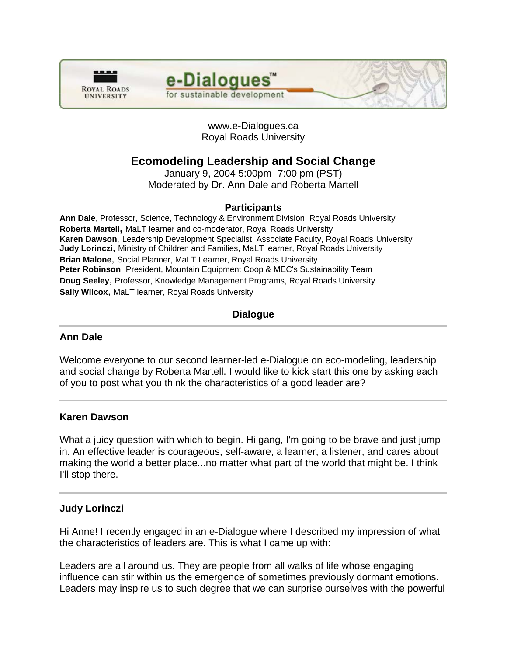

e-Dialogues for sustainable development

# www.e-Dialogues.ca Royal Roads University

# **Ecomodeling Leadership and Social Change**

January 9, 2004 5:00pm- 7:00 pm (PST) Moderated by Dr. Ann Dale and Roberta Martell

# **Participants**

**Ann Dale**, Professor, Science, Technology & Environment Division, Royal Roads University **Roberta Martell,** MaLT learner and co-moderator, Royal Roads University **Karen Dawson**, Leadership Development Specialist, Associate Faculty, Royal Roads University **Judy Lorinczi,** Ministry of Children and Families, MaLT learner, Royal Roads University **Brian Malone**, Social Planner, MaLT Learner, Royal Roads University **Peter Robinson**, President, Mountain Equipment Coop & MEC's Sustainability Team **Doug Seeley**, Professor, Knowledge Management Programs, Royal Roads University **Sally Wilcox**, MaLT learner, Royal Roads University

# **Dialogue**

# **Ann Dale**

Welcome everyone to our second learner-led e-Dialogue on eco-modeling, leadership and social change by Roberta Martell. I would like to kick start this one by asking each of you to post what you think the characteristics of a good leader are?

# **Karen Dawson**

What a juicy question with which to begin. Hi gang, I'm going to be brave and just jump in. An effective leader is courageous, self-aware, a learner, a listener, and cares about making the world a better place...no matter what part of the world that might be. I think I'll stop there.

# **Judy Lorinczi**

Hi Anne! I recently engaged in an e-Dialogue where I described my impression of what the characteristics of leaders are. This is what I came up with:

Leaders are all around us. They are people from all walks of life whose engaging influence can stir within us the emergence of sometimes previously dormant emotions. Leaders may inspire us to such degree that we can surprise ourselves with the powerful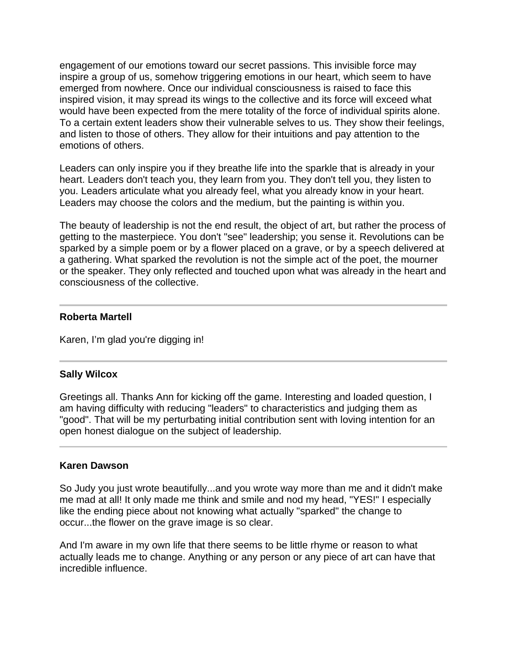engagement of our emotions toward our secret passions. This invisible force may inspire a group of us, somehow triggering emotions in our heart, which seem to have emerged from nowhere. Once our individual consciousness is raised to face this inspired vision, it may spread its wings to the collective and its force will exceed what would have been expected from the mere totality of the force of individual spirits alone. To a certain extent leaders show their vulnerable selves to us. They show their feelings, and listen to those of others. They allow for their intuitions and pay attention to the emotions of others.

Leaders can only inspire you if they breathe life into the sparkle that is already in your heart. Leaders don't teach you, they learn from you. They don't tell you, they listen to you. Leaders articulate what you already feel, what you already know in your heart. Leaders may choose the colors and the medium, but the painting is within you.

The beauty of leadership is not the end result, the object of art, but rather the process of getting to the masterpiece. You don't "see" leadership; you sense it. Revolutions can be sparked by a simple poem or by a flower placed on a grave, or by a speech delivered at a gathering. What sparked the revolution is not the simple act of the poet, the mourner or the speaker. They only reflected and touched upon what was already in the heart and consciousness of the collective.

### **Roberta Martell**

Karen, I'm glad you're digging in!

#### **Sally Wilcox**

Greetings all. Thanks Ann for kicking off the game. Interesting and loaded question, I am having difficulty with reducing "leaders" to characteristics and judging them as "good". That will be my perturbating initial contribution sent with loving intention for an open honest dialogue on the subject of leadership.

#### **Karen Dawson**

So Judy you just wrote beautifully...and you wrote way more than me and it didn't make me mad at all! It only made me think and smile and nod my head, "YES!" I especially like the ending piece about not knowing what actually "sparked" the change to occur...the flower on the grave image is so clear.

And I'm aware in my own life that there seems to be little rhyme or reason to what actually leads me to change. Anything or any person or any piece of art can have that incredible influence.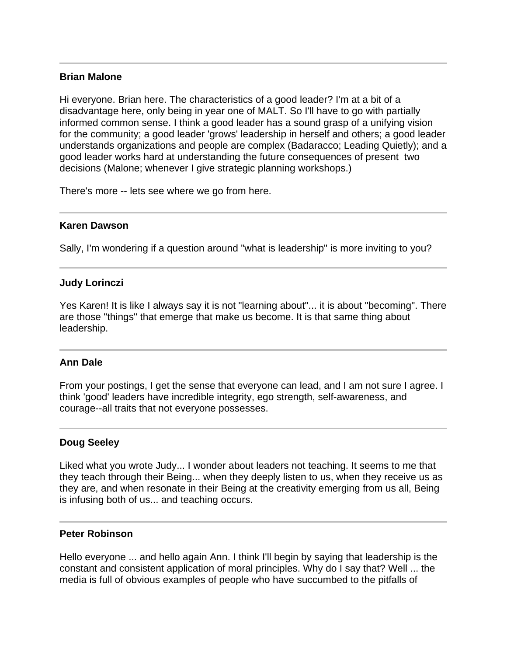### **Brian Malone**

Hi everyone. Brian here. The characteristics of a good leader? I'm at a bit of a disadvantage here, only being in year one of MALT. So I'll have to go with partially informed common sense. I think a good leader has a sound grasp of a unifying vision for the community; a good leader 'grows' leadership in herself and others; a good leader understands organizations and people are complex (Badaracco; Leading Quietly); and a good leader works hard at understanding the future consequences of present two decisions (Malone; whenever I give strategic planning workshops.)

There's more -- lets see where we go from here.

### **Karen Dawson**

Sally, I'm wondering if a question around "what is leadership" is more inviting to you?

# **Judy Lorinczi**

Yes Karen! It is like I always say it is not "learning about"... it is about "becoming". There are those "things" that emerge that make us become. It is that same thing about leadership.

# **Ann Dale**

From your postings, I get the sense that everyone can lead, and I am not sure I agree. I think 'good' leaders have incredible integrity, ego strength, self-awareness, and courage--all traits that not everyone possesses.

# **Doug Seeley**

Liked what you wrote Judy... I wonder about leaders not teaching. It seems to me that they teach through their Being... when they deeply listen to us, when they receive us as they are, and when resonate in their Being at the creativity emerging from us all, Being is infusing both of us... and teaching occurs.

#### **Peter Robinson**

Hello everyone ... and hello again Ann. I think I'll begin by saying that leadership is the constant and consistent application of moral principles. Why do I say that? Well ... the media is full of obvious examples of people who have succumbed to the pitfalls of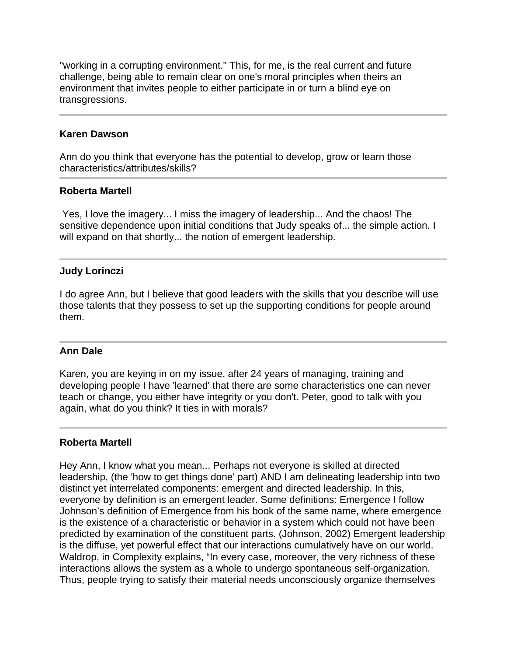"working in a corrupting environment." This, for me, is the real current and future challenge, being able to remain clear on one's moral principles when theirs an environment that invites people to either participate in or turn a blind eye on transgressions.

#### **Karen Dawson**

Ann do you think that everyone has the potential to develop, grow or learn those characteristics/attributes/skills?

#### **Roberta Martell**

 Yes, I love the imagery... I miss the imagery of leadership... And the chaos! The sensitive dependence upon initial conditions that Judy speaks of... the simple action. I will expand on that shortly... the notion of emergent leadership.

#### **Judy Lorinczi**

I do agree Ann, but I believe that good leaders with the skills that you describe will use those talents that they possess to set up the supporting conditions for people around them.

#### **Ann Dale**

Karen, you are keying in on my issue, after 24 years of managing, training and developing people I have 'learned' that there are some characteristics one can never teach or change, you either have integrity or you don't. Peter, good to talk with you again, what do you think? It ties in with morals?

#### **Roberta Martell**

Hey Ann, I know what you mean... Perhaps not everyone is skilled at directed leadership, (the 'how to get things done' part) AND I am delineating leadership into two distinct yet interrelated components: emergent and directed leadership. In this, everyone by definition is an emergent leader. Some definitions: Emergence I follow Johnson's definition of Emergence from his book of the same name, where emergence is the existence of a characteristic or behavior in a system which could not have been predicted by examination of the constituent parts. (Johnson, 2002) Emergent leadership is the diffuse, yet powerful effect that our interactions cumulatively have on our world. Waldrop, in Complexity explains, "In every case, moreover, the very richness of these interactions allows the system as a whole to undergo spontaneous self-organization. Thus, people trying to satisfy their material needs unconsciously organize themselves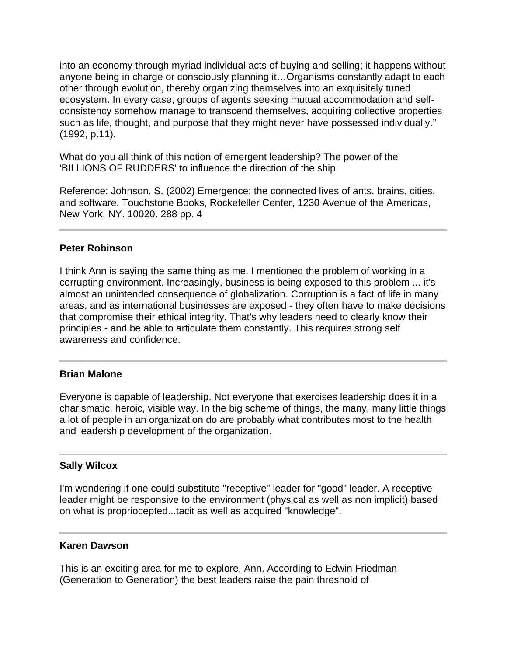into an economy through myriad individual acts of buying and selling; it happens without anyone being in charge or consciously planning it…Organisms constantly adapt to each other through evolution, thereby organizing themselves into an exquisitely tuned ecosystem. In every case, groups of agents seeking mutual accommodation and selfconsistency somehow manage to transcend themselves, acquiring collective properties such as life, thought, and purpose that they might never have possessed individually." (1992, p.11).

What do you all think of this notion of emergent leadership? The power of the 'BILLIONS OF RUDDERS' to influence the direction of the ship.

Reference: Johnson, S. (2002) Emergence: the connected lives of ants, brains, cities, and software. Touchstone Books, Rockefeller Center, 1230 Avenue of the Americas, New York, NY. 10020. 288 pp. 4

#### **Peter Robinson**

I think Ann is saying the same thing as me. I mentioned the problem of working in a corrupting environment. Increasingly, business is being exposed to this problem ... it's almost an unintended consequence of globalization. Corruption is a fact of life in many areas, and as international businesses are exposed - they often have to make decisions that compromise their ethical integrity. That's why leaders need to clearly know their principles - and be able to articulate them constantly. This requires strong self awareness and confidence.

#### **Brian Malone**

Everyone is capable of leadership. Not everyone that exercises leadership does it in a charismatic, heroic, visible way. In the big scheme of things, the many, many little things a lot of people in an organization do are probably what contributes most to the health and leadership development of the organization.

#### **Sally Wilcox**

I'm wondering if one could substitute "receptive" leader for "good" leader. A receptive leader might be responsive to the environment (physical as well as non implicit) based on what is propriocepted...tacit as well as acquired "knowledge".

#### **Karen Dawson**

This is an exciting area for me to explore, Ann. According to Edwin Friedman (Generation to Generation) the best leaders raise the pain threshold of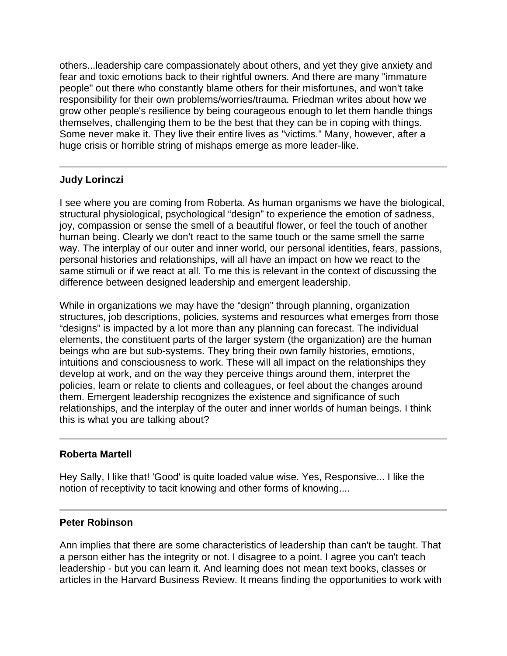others...leadership care compassionately about others, and yet they give anxiety and fear and toxic emotions back to their rightful owners. And there are many "immature people" out there who constantly blame others for their misfortunes, and won't take responsibility for their own problems/worries/trauma. Friedman writes about how we grow other people's resilience by being courageous enough to let them handle things themselves, challenging them to be the best that they can be in coping with things. Some never make it. They live their entire lives as "victims." Many, however, after a huge crisis or horrible string of mishaps emerge as more leader-like.

# **Judy Lorinczi**

I see where you are coming from Roberta. As human organisms we have the biological, structural physiological, psychological "design" to experience the emotion of sadness, joy, compassion or sense the smell of a beautiful flower, or feel the touch of another human being. Clearly we don't react to the same touch or the same smell the same way. The interplay of our outer and inner world, our personal identities, fears, passions, personal histories and relationships, will all have an impact on how we react to the same stimuli or if we react at all. To me this is relevant in the context of discussing the difference between designed leadership and emergent leadership.

While in organizations we may have the "design" through planning, organization structures, job descriptions, policies, systems and resources what emerges from those "designs" is impacted by a lot more than any planning can forecast. The individual elements, the constituent parts of the larger system (the organization) are the human beings who are but sub-systems. They bring their own family histories, emotions, intuitions and consciousness to work. These will all impact on the relationships they develop at work, and on the way they perceive things around them, interpret the policies, learn or relate to clients and colleagues, or feel about the changes around them. Emergent leadership recognizes the existence and significance of such relationships, and the interplay of the outer and inner worlds of human beings. I think this is what you are talking about?

# **Roberta Martell**

Hey Sally, I like that! 'Good' is quite loaded value wise. Yes, Responsive... I like the notion of receptivity to tacit knowing and other forms of knowing....

# **Peter Robinson**

Ann implies that there are some characteristics of leadership than can't be taught. That a person either has the integrity or not. I disagree to a point. I agree you can't teach leadership - but you can learn it. And learning does not mean text books, classes or articles in the Harvard Business Review. It means finding the opportunities to work with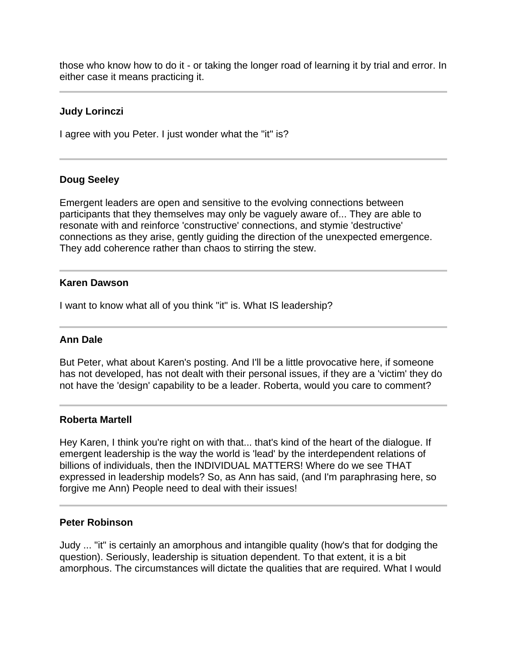those who know how to do it - or taking the longer road of learning it by trial and error. In either case it means practicing it.

### **Judy Lorinczi**

I agree with you Peter. I just wonder what the "it" is?

#### **Doug Seeley**

Emergent leaders are open and sensitive to the evolving connections between participants that they themselves may only be vaguely aware of... They are able to resonate with and reinforce 'constructive' connections, and stymie 'destructive' connections as they arise, gently guiding the direction of the unexpected emergence. They add coherence rather than chaos to stirring the stew.

#### **Karen Dawson**

I want to know what all of you think "it" is. What IS leadership?

#### **Ann Dale**

But Peter, what about Karen's posting. And I'll be a little provocative here, if someone has not developed, has not dealt with their personal issues, if they are a 'victim' they do not have the 'design' capability to be a leader. Roberta, would you care to comment?

#### **Roberta Martell**

Hey Karen, I think you're right on with that... that's kind of the heart of the dialogue. If emergent leadership is the way the world is 'lead' by the interdependent relations of billions of individuals, then the INDIVIDUAL MATTERS! Where do we see THAT expressed in leadership models? So, as Ann has said, (and I'm paraphrasing here, so forgive me Ann) People need to deal with their issues!

#### **Peter Robinson**

Judy ... "it" is certainly an amorphous and intangible quality (how's that for dodging the question). Seriously, leadership is situation dependent. To that extent, it is a bit amorphous. The circumstances will dictate the qualities that are required. What I would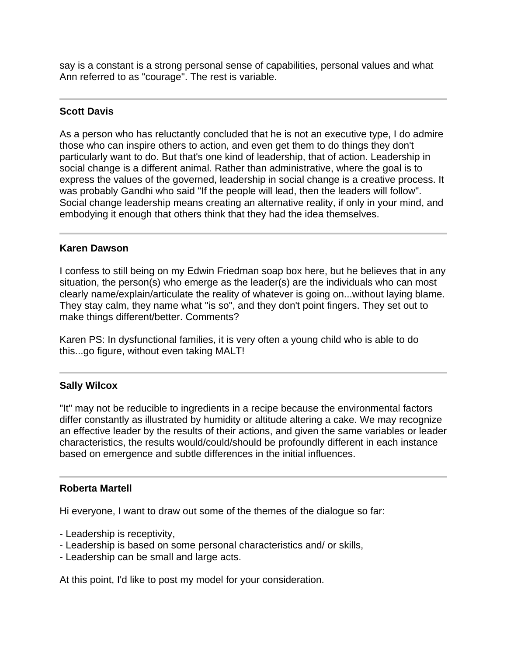say is a constant is a strong personal sense of capabilities, personal values and what Ann referred to as "courage". The rest is variable.

# **Scott Davis**

As a person who has reluctantly concluded that he is not an executive type, I do admire those who can inspire others to action, and even get them to do things they don't particularly want to do. But that's one kind of leadership, that of action. Leadership in social change is a different animal. Rather than administrative, where the goal is to express the values of the governed, leadership in social change is a creative process. It was probably Gandhi who said "If the people will lead, then the leaders will follow". Social change leadership means creating an alternative reality, if only in your mind, and embodying it enough that others think that they had the idea themselves.

### **Karen Dawson**

I confess to still being on my Edwin Friedman soap box here, but he believes that in any situation, the person(s) who emerge as the leader(s) are the individuals who can most clearly name/explain/articulate the reality of whatever is going on...without laying blame. They stay calm, they name what "is so", and they don't point fingers. They set out to make things different/better. Comments?

Karen PS: In dysfunctional families, it is very often a young child who is able to do this...go figure, without even taking MALT!

# **Sally Wilcox**

"It" may not be reducible to ingredients in a recipe because the environmental factors differ constantly as illustrated by humidity or altitude altering a cake. We may recognize an effective leader by the results of their actions, and given the same variables or leader characteristics, the results would/could/should be profoundly different in each instance based on emergence and subtle differences in the initial influences.

# **Roberta Martell**

Hi everyone, I want to draw out some of the themes of the dialogue so far:

- Leadership is receptivity,
- Leadership is based on some personal characteristics and/ or skills,
- Leadership can be small and large acts.

At this point, I'd like to post my model for your consideration.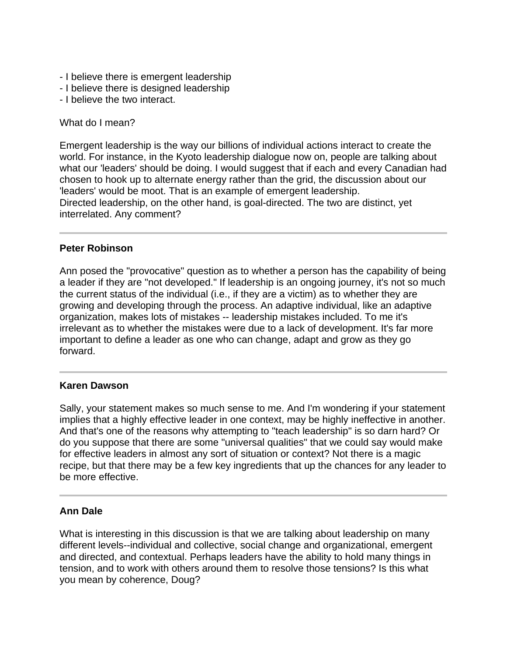- I believe there is emergent leadership
- I believe there is designed leadership
- I believe the two interact.

What do I mean?

Emergent leadership is the way our billions of individual actions interact to create the world. For instance, in the Kyoto leadership dialogue now on, people are talking about what our 'leaders' should be doing. I would suggest that if each and every Canadian had chosen to hook up to alternate energy rather than the grid, the discussion about our 'leaders' would be moot. That is an example of emergent leadership. Directed leadership, on the other hand, is goal-directed. The two are distinct, yet interrelated. Any comment?

#### **Peter Robinson**

Ann posed the "provocative" question as to whether a person has the capability of being a leader if they are "not developed." If leadership is an ongoing journey, it's not so much the current status of the individual (i.e., if they are a victim) as to whether they are growing and developing through the process. An adaptive individual, like an adaptive organization, makes lots of mistakes -- leadership mistakes included. To me it's irrelevant as to whether the mistakes were due to a lack of development. It's far more important to define a leader as one who can change, adapt and grow as they go forward.

#### **Karen Dawson**

Sally, your statement makes so much sense to me. And I'm wondering if your statement implies that a highly effective leader in one context, may be highly ineffective in another. And that's one of the reasons why attempting to "teach leadership" is so darn hard? Or do you suppose that there are some "universal qualities" that we could say would make for effective leaders in almost any sort of situation or context? Not there is a magic recipe, but that there may be a few key ingredients that up the chances for any leader to be more effective.

#### **Ann Dale**

What is interesting in this discussion is that we are talking about leadership on many different levels--individual and collective, social change and organizational, emergent and directed, and contextual. Perhaps leaders have the ability to hold many things in tension, and to work with others around them to resolve those tensions? Is this what you mean by coherence, Doug?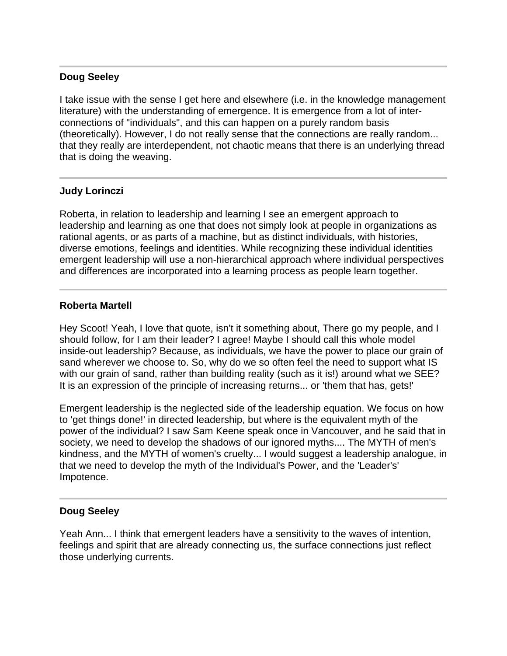# **Doug Seeley**

I take issue with the sense I get here and elsewhere (i.e. in the knowledge management literature) with the understanding of emergence. It is emergence from a lot of interconnections of "individuals", and this can happen on a purely random basis (theoretically). However, I do not really sense that the connections are really random... that they really are interdependent, not chaotic means that there is an underlying thread that is doing the weaving.

# **Judy Lorinczi**

Roberta, in relation to leadership and learning I see an emergent approach to leadership and learning as one that does not simply look at people in organizations as rational agents, or as parts of a machine, but as distinct individuals, with histories, diverse emotions, feelings and identities. While recognizing these individual identities emergent leadership will use a non-hierarchical approach where individual perspectives and differences are incorporated into a learning process as people learn together.

# **Roberta Martell**

Hey Scoot! Yeah, I love that quote, isn't it something about, There go my people, and I should follow, for I am their leader? I agree! Maybe I should call this whole model inside-out leadership? Because, as individuals, we have the power to place our grain of sand wherever we choose to. So, why do we so often feel the need to support what IS with our grain of sand, rather than building reality (such as it is!) around what we SEE? It is an expression of the principle of increasing returns... or 'them that has, gets!'

Emergent leadership is the neglected side of the leadership equation. We focus on how to 'get things done!' in directed leadership, but where is the equivalent myth of the power of the individual? I saw Sam Keene speak once in Vancouver, and he said that in society, we need to develop the shadows of our ignored myths.... The MYTH of men's kindness, and the MYTH of women's cruelty... I would suggest a leadership analogue, in that we need to develop the myth of the Individual's Power, and the 'Leader's' Impotence.

# **Doug Seeley**

Yeah Ann... I think that emergent leaders have a sensitivity to the waves of intention, feelings and spirit that are already connecting us, the surface connections just reflect those underlying currents.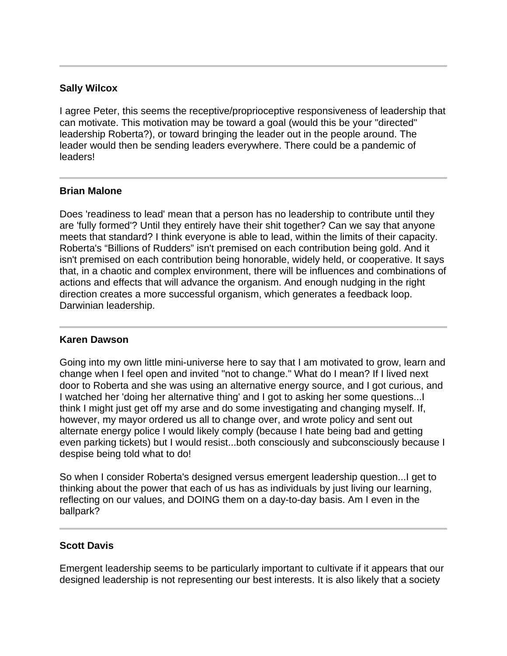# **Sally Wilcox**

I agree Peter, this seems the receptive/proprioceptive responsiveness of leadership that can motivate. This motivation may be toward a goal (would this be your "directed" leadership Roberta?), or toward bringing the leader out in the people around. The leader would then be sending leaders everywhere. There could be a pandemic of leaders!

### **Brian Malone**

Does 'readiness to lead' mean that a person has no leadership to contribute until they are 'fully formed'? Until they entirely have their shit together? Can we say that anyone meets that standard? I think everyone is able to lead, within the limits of their capacity. Roberta's "Billions of Rudders" isn't premised on each contribution being gold. And it isn't premised on each contribution being honorable, widely held, or cooperative. It says that, in a chaotic and complex environment, there will be influences and combinations of actions and effects that will advance the organism. And enough nudging in the right direction creates a more successful organism, which generates a feedback loop. Darwinian leadership.

#### **Karen Dawson**

Going into my own little mini-universe here to say that I am motivated to grow, learn and change when I feel open and invited "not to change." What do I mean? If I lived next door to Roberta and she was using an alternative energy source, and I got curious, and I watched her 'doing her alternative thing' and I got to asking her some questions...I think I might just get off my arse and do some investigating and changing myself. If, however, my mayor ordered us all to change over, and wrote policy and sent out alternate energy police I would likely comply (because I hate being bad and getting even parking tickets) but I would resist...both consciously and subconsciously because I despise being told what to do!

So when I consider Roberta's designed versus emergent leadership question...I get to thinking about the power that each of us has as individuals by just living our learning, reflecting on our values, and DOING them on a day-to-day basis. Am I even in the ballpark?

# **Scott Davis**

Emergent leadership seems to be particularly important to cultivate if it appears that our designed leadership is not representing our best interests. It is also likely that a society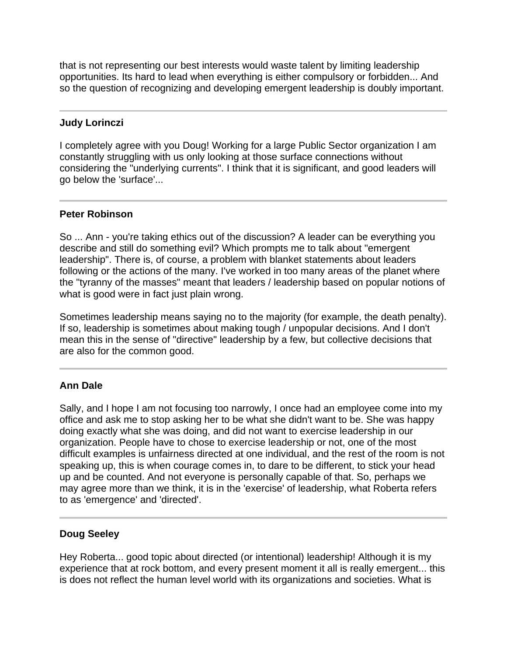that is not representing our best interests would waste talent by limiting leadership opportunities. Its hard to lead when everything is either compulsory or forbidden... And so the question of recognizing and developing emergent leadership is doubly important.

### **Judy Lorinczi**

I completely agree with you Doug! Working for a large Public Sector organization I am constantly struggling with us only looking at those surface connections without considering the "underlying currents". I think that it is significant, and good leaders will go below the 'surface'...

# **Peter Robinson**

So ... Ann - you're taking ethics out of the discussion? A leader can be everything you describe and still do something evil? Which prompts me to talk about "emergent leadership". There is, of course, a problem with blanket statements about leaders following or the actions of the many. I've worked in too many areas of the planet where the "tyranny of the masses" meant that leaders / leadership based on popular notions of what is good were in fact just plain wrong.

Sometimes leadership means saying no to the majority (for example, the death penalty). If so, leadership is sometimes about making tough / unpopular decisions. And I don't mean this in the sense of "directive" leadership by a few, but collective decisions that are also for the common good.

# **Ann Dale**

Sally, and I hope I am not focusing too narrowly, I once had an employee come into my office and ask me to stop asking her to be what she didn't want to be. She was happy doing exactly what she was doing, and did not want to exercise leadership in our organization. People have to chose to exercise leadership or not, one of the most difficult examples is unfairness directed at one individual, and the rest of the room is not speaking up, this is when courage comes in, to dare to be different, to stick your head up and be counted. And not everyone is personally capable of that. So, perhaps we may agree more than we think, it is in the 'exercise' of leadership, what Roberta refers to as 'emergence' and 'directed'.

#### **Doug Seeley**

Hey Roberta... good topic about directed (or intentional) leadership! Although it is my experience that at rock bottom, and every present moment it all is really emergent... this is does not reflect the human level world with its organizations and societies. What is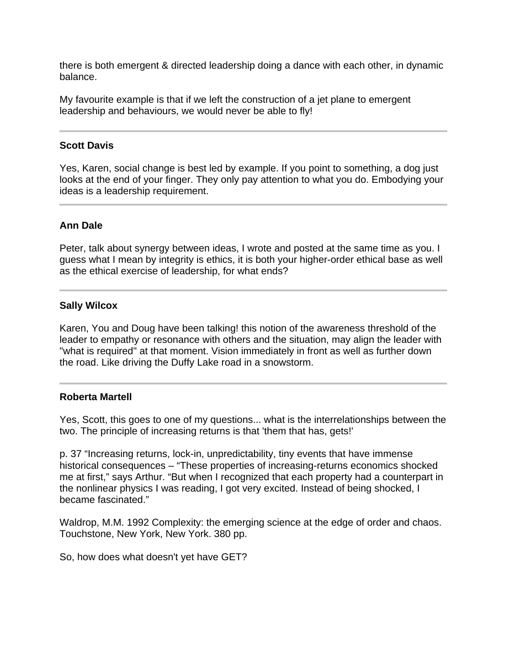there is both emergent & directed leadership doing a dance with each other, in dynamic balance.

My favourite example is that if we left the construction of a jet plane to emergent leadership and behaviours, we would never be able to fly!

### **Scott Davis**

Yes, Karen, social change is best led by example. If you point to something, a dog just looks at the end of your finger. They only pay attention to what you do. Embodying your ideas is a leadership requirement.

# **Ann Dale**

Peter, talk about synergy between ideas, I wrote and posted at the same time as you. I guess what I mean by integrity is ethics, it is both your higher-order ethical base as well as the ethical exercise of leadership, for what ends?

### **Sally Wilcox**

Karen, You and Doug have been talking! this notion of the awareness threshold of the leader to empathy or resonance with others and the situation, may align the leader with "what is required" at that moment. Vision immediately in front as well as further down the road. Like driving the Duffy Lake road in a snowstorm.

#### **Roberta Martell**

Yes, Scott, this goes to one of my questions... what is the interrelationships between the two. The principle of increasing returns is that 'them that has, gets!'

p. 37 "Increasing returns, lock-in, unpredictability, tiny events that have immense historical consequences – "These properties of increasing-returns economics shocked me at first," says Arthur. "But when I recognized that each property had a counterpart in the nonlinear physics I was reading, I got very excited. Instead of being shocked, I became fascinated."

Waldrop, M.M. 1992 Complexity: the emerging science at the edge of order and chaos. Touchstone, New York, New York. 380 pp.

So, how does what doesn't yet have GET?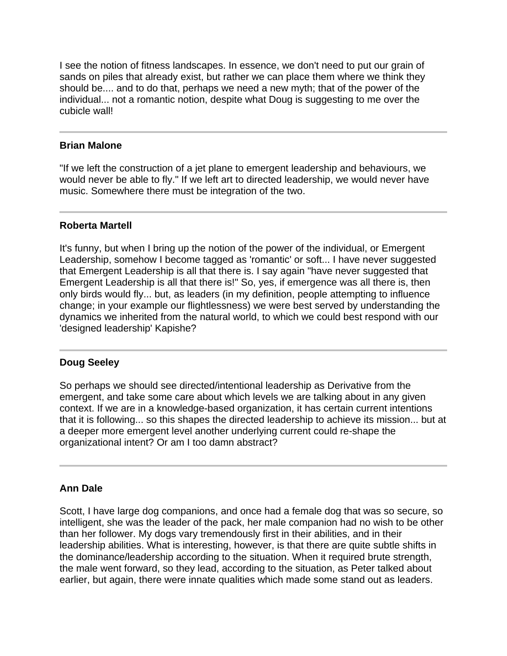I see the notion of fitness landscapes. In essence, we don't need to put our grain of sands on piles that already exist, but rather we can place them where we think they should be.... and to do that, perhaps we need a new myth; that of the power of the individual... not a romantic notion, despite what Doug is suggesting to me over the cubicle wall!

#### **Brian Malone**

"If we left the construction of a jet plane to emergent leadership and behaviours, we would never be able to fly." If we left art to directed leadership, we would never have music. Somewhere there must be integration of the two.

### **Roberta Martell**

It's funny, but when I bring up the notion of the power of the individual, or Emergent Leadership, somehow I become tagged as 'romantic' or soft... I have never suggested that Emergent Leadership is all that there is. I say again "have never suggested that Emergent Leadership is all that there is!" So, yes, if emergence was all there is, then only birds would fly... but, as leaders (in my definition, people attempting to influence change; in your example our flightlessness) we were best served by understanding the dynamics we inherited from the natural world, to which we could best respond with our 'designed leadership' Kapishe?

# **Doug Seeley**

So perhaps we should see directed/intentional leadership as Derivative from the emergent, and take some care about which levels we are talking about in any given context. If we are in a knowledge-based organization, it has certain current intentions that it is following... so this shapes the directed leadership to achieve its mission... but at a deeper more emergent level another underlying current could re-shape the organizational intent? Or am I too damn abstract?

# **Ann Dale**

Scott, I have large dog companions, and once had a female dog that was so secure, so intelligent, she was the leader of the pack, her male companion had no wish to be other than her follower. My dogs vary tremendously first in their abilities, and in their leadership abilities. What is interesting, however, is that there are quite subtle shifts in the dominance/leadership according to the situation. When it required brute strength, the male went forward, so they lead, according to the situation, as Peter talked about earlier, but again, there were innate qualities which made some stand out as leaders.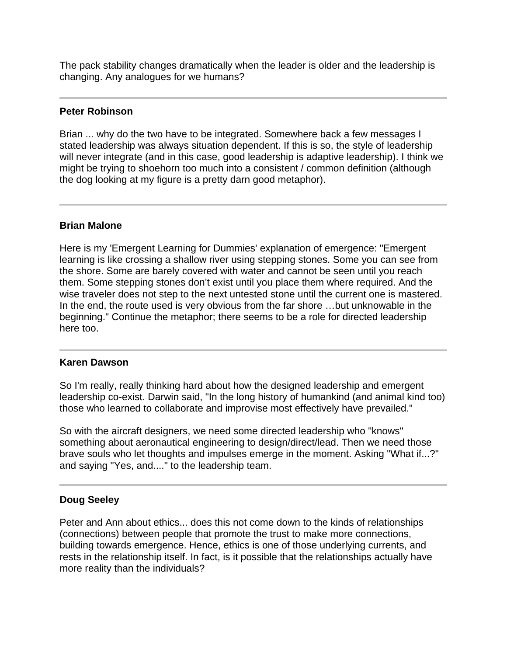The pack stability changes dramatically when the leader is older and the leadership is changing. Any analogues for we humans?

#### **Peter Robinson**

Brian ... why do the two have to be integrated. Somewhere back a few messages I stated leadership was always situation dependent. If this is so, the style of leadership will never integrate (and in this case, good leadership is adaptive leadership). I think we might be trying to shoehorn too much into a consistent / common definition (although the dog looking at my figure is a pretty darn good metaphor).

# **Brian Malone**

Here is my 'Emergent Learning for Dummies' explanation of emergence: "Emergent learning is like crossing a shallow river using stepping stones. Some you can see from the shore. Some are barely covered with water and cannot be seen until you reach them. Some stepping stones don't exist until you place them where required. And the wise traveler does not step to the next untested stone until the current one is mastered. In the end, the route used is very obvious from the far shore …but unknowable in the beginning." Continue the metaphor; there seems to be a role for directed leadership here too.

#### **Karen Dawson**

So I'm really, really thinking hard about how the designed leadership and emergent leadership co-exist. Darwin said, "In the long history of humankind (and animal kind too) those who learned to collaborate and improvise most effectively have prevailed."

So with the aircraft designers, we need some directed leadership who "knows" something about aeronautical engineering to design/direct/lead. Then we need those brave souls who let thoughts and impulses emerge in the moment. Asking "What if...?" and saying "Yes, and...." to the leadership team.

# **Doug Seeley**

Peter and Ann about ethics... does this not come down to the kinds of relationships (connections) between people that promote the trust to make more connections, building towards emergence. Hence, ethics is one of those underlying currents, and rests in the relationship itself. In fact, is it possible that the relationships actually have more reality than the individuals?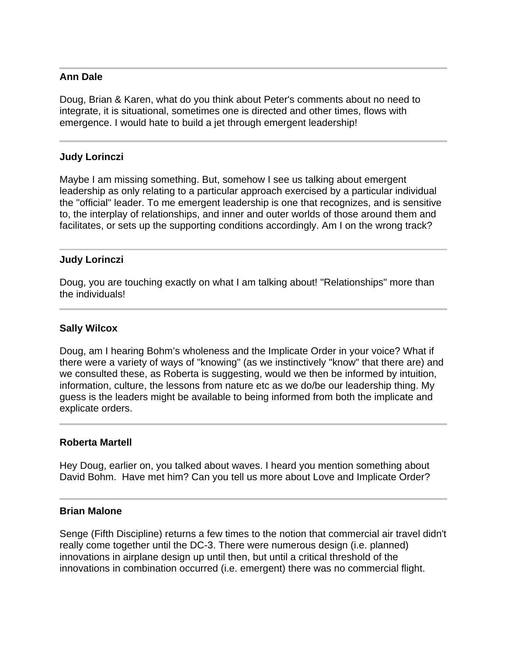### **Ann Dale**

Doug, Brian & Karen, what do you think about Peter's comments about no need to integrate, it is situational, sometimes one is directed and other times, flows with emergence. I would hate to build a jet through emergent leadership!

### **Judy Lorinczi**

Maybe I am missing something. But, somehow I see us talking about emergent leadership as only relating to a particular approach exercised by a particular individual the "official" leader. To me emergent leadership is one that recognizes, and is sensitive to, the interplay of relationships, and inner and outer worlds of those around them and facilitates, or sets up the supporting conditions accordingly. Am I on the wrong track?

### **Judy Lorinczi**

Doug, you are touching exactly on what I am talking about! "Relationships" more than the individuals!

### **Sally Wilcox**

Doug, am I hearing Bohm's wholeness and the Implicate Order in your voice? What if there were a variety of ways of "knowing" (as we instinctively "know" that there are) and we consulted these, as Roberta is suggesting, would we then be informed by intuition, information, culture, the lessons from nature etc as we do/be our leadership thing. My guess is the leaders might be available to being informed from both the implicate and explicate orders.

#### **Roberta Martell**

Hey Doug, earlier on, you talked about waves. I heard you mention something about David Bohm. Have met him? Can you tell us more about Love and Implicate Order?

#### **Brian Malone**

Senge (Fifth Discipline) returns a few times to the notion that commercial air travel didn't really come together until the DC-3. There were numerous design (i.e. planned) innovations in airplane design up until then, but until a critical threshold of the innovations in combination occurred (i.e. emergent) there was no commercial flight.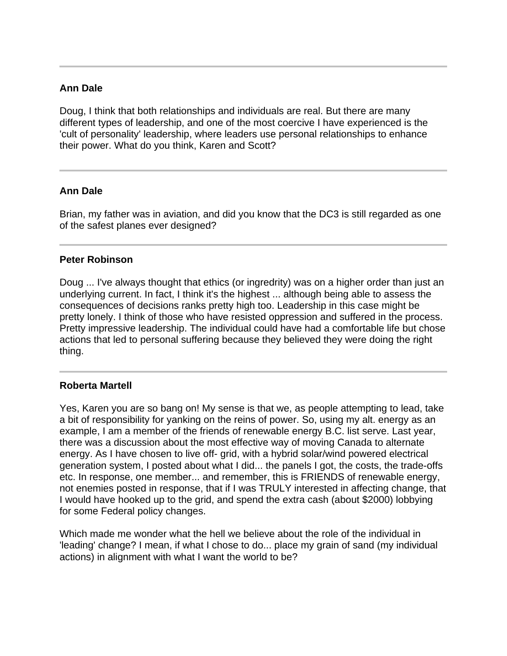# **Ann Dale**

Doug, I think that both relationships and individuals are real. But there are many different types of leadership, and one of the most coercive I have experienced is the 'cult of personality' leadership, where leaders use personal relationships to enhance their power. What do you think, Karen and Scott?

# **Ann Dale**

Brian, my father was in aviation, and did you know that the DC3 is still regarded as one of the safest planes ever designed?

# **Peter Robinson**

Doug ... I've always thought that ethics (or ingredrity) was on a higher order than just an underlying current. In fact, I think it's the highest ... although being able to assess the consequences of decisions ranks pretty high too. Leadership in this case might be pretty lonely. I think of those who have resisted oppression and suffered in the process. Pretty impressive leadership. The individual could have had a comfortable life but chose actions that led to personal suffering because they believed they were doing the right thing.

# **Roberta Martell**

Yes, Karen you are so bang on! My sense is that we, as people attempting to lead, take a bit of responsibility for yanking on the reins of power. So, using my alt. energy as an example, I am a member of the friends of renewable energy B.C. list serve. Last year, there was a discussion about the most effective way of moving Canada to alternate energy. As I have chosen to live off- grid, with a hybrid solar/wind powered electrical generation system, I posted about what I did... the panels I got, the costs, the trade-offs etc. In response, one member... and remember, this is FRIENDS of renewable energy, not enemies posted in response, that if I was TRULY interested in affecting change, that I would have hooked up to the grid, and spend the extra cash (about \$2000) lobbying for some Federal policy changes.

Which made me wonder what the hell we believe about the role of the individual in 'leading' change? I mean, if what I chose to do... place my grain of sand (my individual actions) in alignment with what I want the world to be?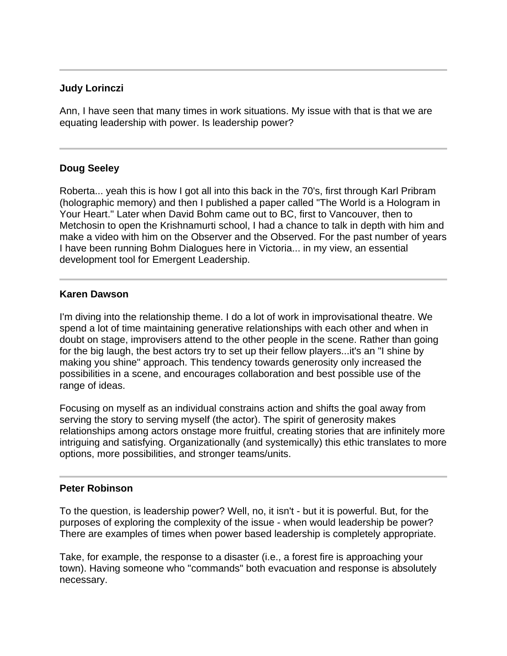### **Judy Lorinczi**

Ann, I have seen that many times in work situations. My issue with that is that we are equating leadership with power. Is leadership power?

### **Doug Seeley**

Roberta... yeah this is how I got all into this back in the 70's, first through Karl Pribram (holographic memory) and then I published a paper called "The World is a Hologram in Your Heart." Later when David Bohm came out to BC, first to Vancouver, then to Metchosin to open the Krishnamurti school, I had a chance to talk in depth with him and make a video with him on the Observer and the Observed. For the past number of years I have been running Bohm Dialogues here in Victoria... in my view, an essential development tool for Emergent Leadership.

### **Karen Dawson**

I'm diving into the relationship theme. I do a lot of work in improvisational theatre. We spend a lot of time maintaining generative relationships with each other and when in doubt on stage, improvisers attend to the other people in the scene. Rather than going for the big laugh, the best actors try to set up their fellow players...it's an "I shine by making you shine" approach. This tendency towards generosity only increased the possibilities in a scene, and encourages collaboration and best possible use of the range of ideas.

Focusing on myself as an individual constrains action and shifts the goal away from serving the story to serving myself (the actor). The spirit of generosity makes relationships among actors onstage more fruitful, creating stories that are infinitely more intriguing and satisfying. Organizationally (and systemically) this ethic translates to more options, more possibilities, and stronger teams/units.

# **Peter Robinson**

To the question, is leadership power? Well, no, it isn't - but it is powerful. But, for the purposes of exploring the complexity of the issue - when would leadership be power? There are examples of times when power based leadership is completely appropriate.

Take, for example, the response to a disaster (i.e., a forest fire is approaching your town). Having someone who "commands" both evacuation and response is absolutely necessary.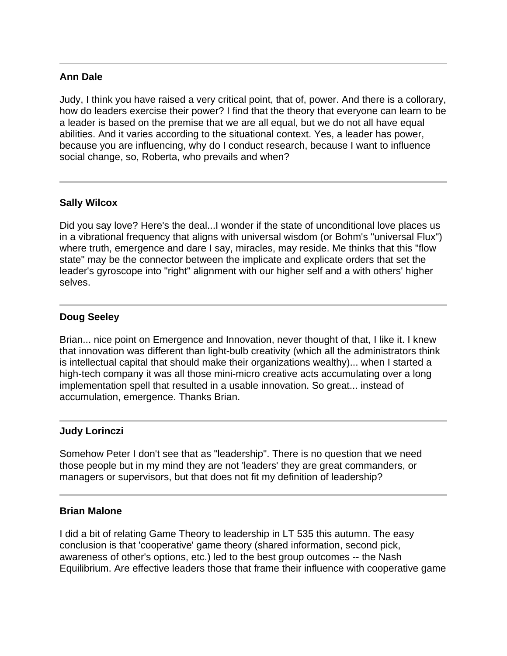# **Ann Dale**

Judy, I think you have raised a very critical point, that of, power. And there is a collorary, how do leaders exercise their power? I find that the theory that everyone can learn to be a leader is based on the premise that we are all equal, but we do not all have equal abilities. And it varies according to the situational context. Yes, a leader has power, because you are influencing, why do I conduct research, because I want to influence social change, so, Roberta, who prevails and when?

# **Sally Wilcox**

Did you say love? Here's the deal...I wonder if the state of unconditional love places us in a vibrational frequency that aligns with universal wisdom (or Bohm's "universal Flux") where truth, emergence and dare I say, miracles, may reside. Me thinks that this "flow state" may be the connector between the implicate and explicate orders that set the leader's gyroscope into "right" alignment with our higher self and a with others' higher selves.

# **Doug Seeley**

Brian... nice point on Emergence and Innovation, never thought of that, I like it. I knew that innovation was different than light-bulb creativity (which all the administrators think is intellectual capital that should make their organizations wealthy)... when I started a high-tech company it was all those mini-micro creative acts accumulating over a long implementation spell that resulted in a usable innovation. So great... instead of accumulation, emergence. Thanks Brian.

# **Judy Lorinczi**

Somehow Peter I don't see that as "leadership". There is no question that we need those people but in my mind they are not 'leaders' they are great commanders, or managers or supervisors, but that does not fit my definition of leadership?

#### **Brian Malone**

I did a bit of relating Game Theory to leadership in LT 535 this autumn. The easy conclusion is that 'cooperative' game theory (shared information, second pick, awareness of other's options, etc.) led to the best group outcomes -- the Nash Equilibrium. Are effective leaders those that frame their influence with cooperative game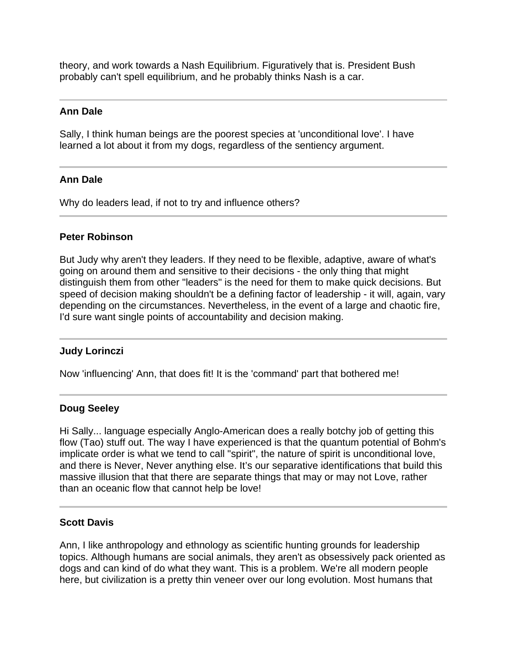theory, and work towards a Nash Equilibrium. Figuratively that is. President Bush probably can't spell equilibrium, and he probably thinks Nash is a car.

# **Ann Dale**

Sally, I think human beings are the poorest species at 'unconditional love'. I have learned a lot about it from my dogs, regardless of the sentiency argument.

# **Ann Dale**

Why do leaders lead, if not to try and influence others?

### **Peter Robinson**

But Judy why aren't they leaders. If they need to be flexible, adaptive, aware of what's going on around them and sensitive to their decisions - the only thing that might distinguish them from other "leaders" is the need for them to make quick decisions. But speed of decision making shouldn't be a defining factor of leadership - it will, again, vary depending on the circumstances. Nevertheless, in the event of a large and chaotic fire, I'd sure want single points of accountability and decision making.

# **Judy Lorinczi**

Now 'influencing' Ann, that does fit! It is the 'command' part that bothered me!

#### **Doug Seeley**

Hi Sally... language especially Anglo-American does a really botchy job of getting this flow (Tao) stuff out. The way I have experienced is that the quantum potential of Bohm's implicate order is what we tend to call "spirit", the nature of spirit is unconditional love, and there is Never, Never anything else. It's our separative identifications that build this massive illusion that that there are separate things that may or may not Love, rather than an oceanic flow that cannot help be love!

#### **Scott Davis**

Ann, I like anthropology and ethnology as scientific hunting grounds for leadership topics. Although humans are social animals, they aren't as obsessively pack oriented as dogs and can kind of do what they want. This is a problem. We're all modern people here, but civilization is a pretty thin veneer over our long evolution. Most humans that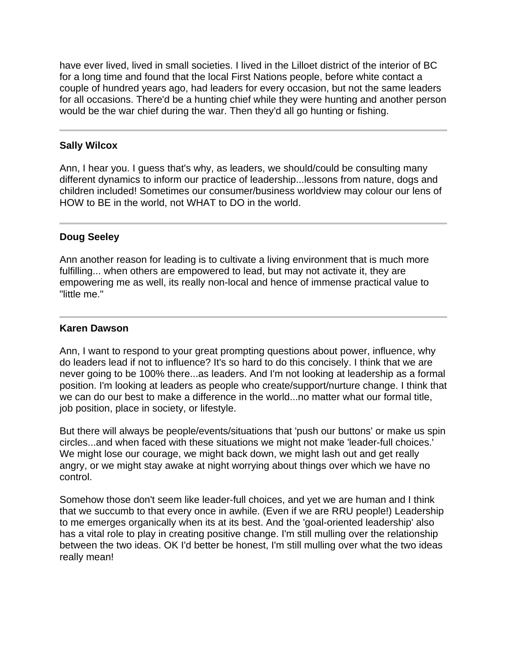have ever lived, lived in small societies. I lived in the Lilloet district of the interior of BC for a long time and found that the local First Nations people, before white contact a couple of hundred years ago, had leaders for every occasion, but not the same leaders for all occasions. There'd be a hunting chief while they were hunting and another person would be the war chief during the war. Then they'd all go hunting or fishing.

### **Sally Wilcox**

Ann, I hear you. I guess that's why, as leaders, we should/could be consulting many different dynamics to inform our practice of leadership...lessons from nature, dogs and children included! Sometimes our consumer/business worldview may colour our lens of HOW to BE in the world, not WHAT to DO in the world.

#### **Doug Seeley**

Ann another reason for leading is to cultivate a living environment that is much more fulfilling... when others are empowered to lead, but may not activate it, they are empowering me as well, its really non-local and hence of immense practical value to "little me."

#### **Karen Dawson**

Ann, I want to respond to your great prompting questions about power, influence, why do leaders lead if not to influence? It's so hard to do this concisely. I think that we are never going to be 100% there...as leaders. And I'm not looking at leadership as a formal position. I'm looking at leaders as people who create/support/nurture change. I think that we can do our best to make a difference in the world...no matter what our formal title, job position, place in society, or lifestyle.

But there will always be people/events/situations that 'push our buttons' or make us spin circles...and when faced with these situations we might not make 'leader-full choices.' We might lose our courage, we might back down, we might lash out and get really angry, or we might stay awake at night worrying about things over which we have no control.

Somehow those don't seem like leader-full choices, and yet we are human and I think that we succumb to that every once in awhile. (Even if we are RRU people!) Leadership to me emerges organically when its at its best. And the 'goal-oriented leadership' also has a vital role to play in creating positive change. I'm still mulling over the relationship between the two ideas. OK I'd better be honest, I'm still mulling over what the two ideas really mean!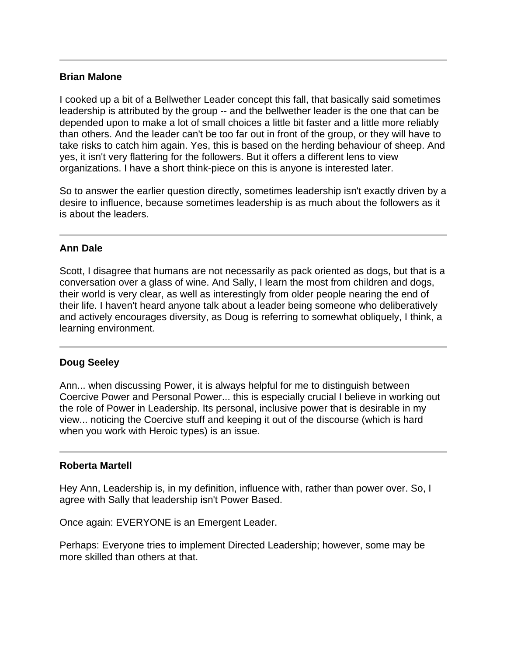### **Brian Malone**

I cooked up a bit of a Bellwether Leader concept this fall, that basically said sometimes leadership is attributed by the group -- and the bellwether leader is the one that can be depended upon to make a lot of small choices a little bit faster and a little more reliably than others. And the leader can't be too far out in front of the group, or they will have to take risks to catch him again. Yes, this is based on the herding behaviour of sheep. And yes, it isn't very flattering for the followers. But it offers a different lens to view organizations. I have a short think-piece on this is anyone is interested later.

So to answer the earlier question directly, sometimes leadership isn't exactly driven by a desire to influence, because sometimes leadership is as much about the followers as it is about the leaders.

# **Ann Dale**

Scott, I disagree that humans are not necessarily as pack oriented as dogs, but that is a conversation over a glass of wine. And Sally, I learn the most from children and dogs, their world is very clear, as well as interestingly from older people nearing the end of their life. I haven't heard anyone talk about a leader being someone who deliberatively and actively encourages diversity, as Doug is referring to somewhat obliquely, I think, a learning environment.

#### **Doug Seeley**

Ann... when discussing Power, it is always helpful for me to distinguish between Coercive Power and Personal Power... this is especially crucial I believe in working out the role of Power in Leadership. Its personal, inclusive power that is desirable in my view... noticing the Coercive stuff and keeping it out of the discourse (which is hard when you work with Heroic types) is an issue.

#### **Roberta Martell**

Hey Ann, Leadership is, in my definition, influence with, rather than power over. So, I agree with Sally that leadership isn't Power Based.

Once again: EVERYONE is an Emergent Leader.

Perhaps: Everyone tries to implement Directed Leadership; however, some may be more skilled than others at that.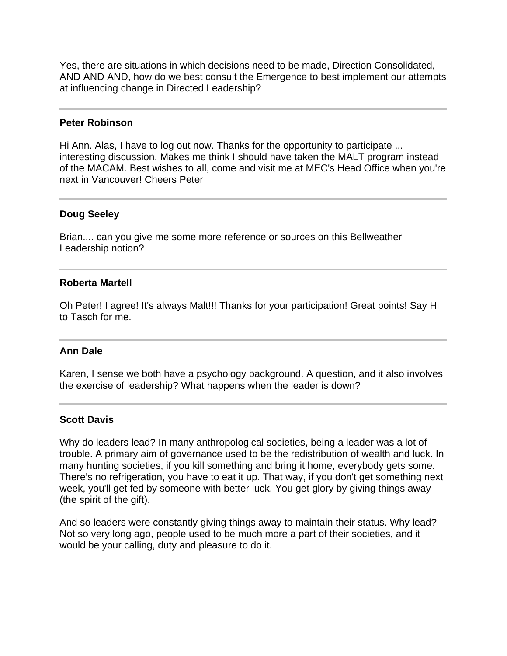Yes, there are situations in which decisions need to be made, Direction Consolidated, AND AND AND, how do we best consult the Emergence to best implement our attempts at influencing change in Directed Leadership?

#### **Peter Robinson**

Hi Ann. Alas, I have to log out now. Thanks for the opportunity to participate ... interesting discussion. Makes me think I should have taken the MALT program instead of the MACAM. Best wishes to all, come and visit me at MEC's Head Office when you're next in Vancouver! Cheers Peter

### **Doug Seeley**

Brian.... can you give me some more reference or sources on this Bellweather Leadership notion?

### **Roberta Martell**

Oh Peter! I agree! It's always Malt!!! Thanks for your participation! Great points! Say Hi to Tasch for me.

# **Ann Dale**

Karen, I sense we both have a psychology background. A question, and it also involves the exercise of leadership? What happens when the leader is down?

#### **Scott Davis**

Why do leaders lead? In many anthropological societies, being a leader was a lot of trouble. A primary aim of governance used to be the redistribution of wealth and luck. In many hunting societies, if you kill something and bring it home, everybody gets some. There's no refrigeration, you have to eat it up. That way, if you don't get something next week, you'll get fed by someone with better luck. You get glory by giving things away (the spirit of the gift).

And so leaders were constantly giving things away to maintain their status. Why lead? Not so very long ago, people used to be much more a part of their societies, and it would be your calling, duty and pleasure to do it.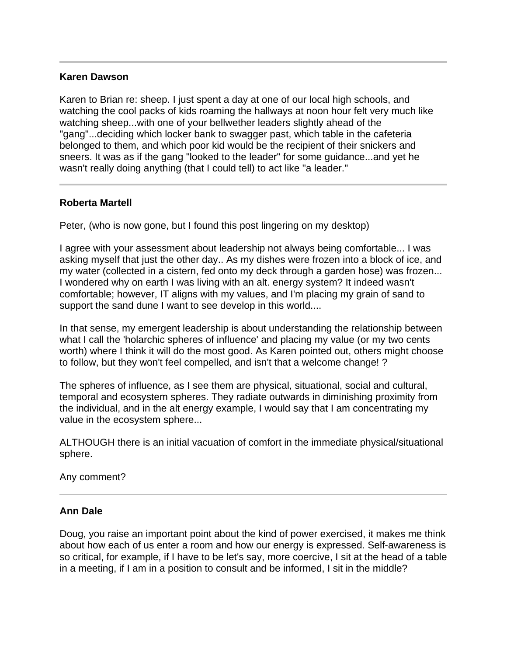### **Karen Dawson**

Karen to Brian re: sheep. I just spent a day at one of our local high schools, and watching the cool packs of kids roaming the hallways at noon hour felt very much like watching sheep...with one of your bellwether leaders slightly ahead of the "gang"...deciding which locker bank to swagger past, which table in the cafeteria belonged to them, and which poor kid would be the recipient of their snickers and sneers. It was as if the gang "looked to the leader" for some guidance...and yet he wasn't really doing anything (that I could tell) to act like "a leader."

# **Roberta Martell**

Peter, (who is now gone, but I found this post lingering on my desktop)

I agree with your assessment about leadership not always being comfortable... I was asking myself that just the other day.. As my dishes were frozen into a block of ice, and my water (collected in a cistern, fed onto my deck through a garden hose) was frozen... I wondered why on earth I was living with an alt. energy system? It indeed wasn't comfortable; however, IT aligns with my values, and I'm placing my grain of sand to support the sand dune I want to see develop in this world....

In that sense, my emergent leadership is about understanding the relationship between what I call the 'holarchic spheres of influence' and placing my value (or my two cents worth) where I think it will do the most good. As Karen pointed out, others might choose to follow, but they won't feel compelled, and isn't that a welcome change! ?

The spheres of influence, as I see them are physical, situational, social and cultural, temporal and ecosystem spheres. They radiate outwards in diminishing proximity from the individual, and in the alt energy example, I would say that I am concentrating my value in the ecosystem sphere...

ALTHOUGH there is an initial vacuation of comfort in the immediate physical/situational sphere.

#### Any comment?

#### **Ann Dale**

Doug, you raise an important point about the kind of power exercised, it makes me think about how each of us enter a room and how our energy is expressed. Self-awareness is so critical, for example, if I have to be let's say, more coercive, I sit at the head of a table in a meeting, if I am in a position to consult and be informed, I sit in the middle?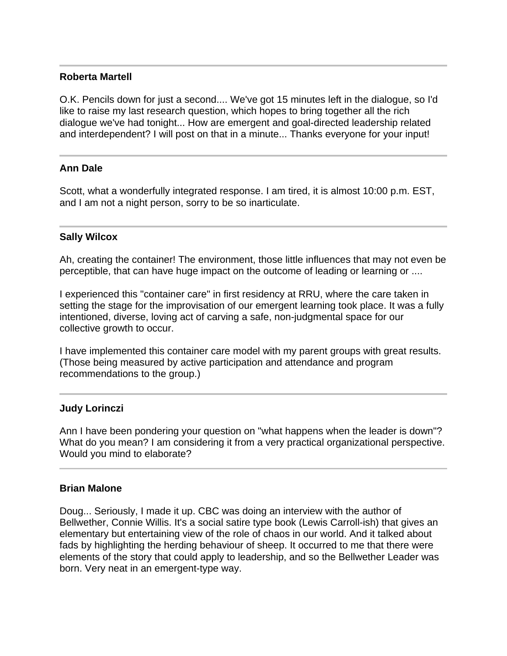### **Roberta Martell**

O.K. Pencils down for just a second.... We've got 15 minutes left in the dialogue, so I'd like to raise my last research question, which hopes to bring together all the rich dialogue we've had tonight... How are emergent and goal-directed leadership related and interdependent? I will post on that in a minute... Thanks everyone for your input!

### **Ann Dale**

Scott, what a wonderfully integrated response. I am tired, it is almost 10:00 p.m. EST, and I am not a night person, sorry to be so inarticulate.

### **Sally Wilcox**

Ah, creating the container! The environment, those little influences that may not even be perceptible, that can have huge impact on the outcome of leading or learning or ....

I experienced this "container care" in first residency at RRU, where the care taken in setting the stage for the improvisation of our emergent learning took place. It was a fully intentioned, diverse, loving act of carving a safe, non-judgmental space for our collective growth to occur.

I have implemented this container care model with my parent groups with great results. (Those being measured by active participation and attendance and program recommendations to the group.)

#### **Judy Lorinczi**

Ann I have been pondering your question on "what happens when the leader is down"? What do you mean? I am considering it from a very practical organizational perspective. Would you mind to elaborate?

#### **Brian Malone**

Doug... Seriously, I made it up. CBC was doing an interview with the author of Bellwether, Connie Willis. It's a social satire type book (Lewis Carroll-ish) that gives an elementary but entertaining view of the role of chaos in our world. And it talked about fads by highlighting the herding behaviour of sheep. It occurred to me that there were elements of the story that could apply to leadership, and so the Bellwether Leader was born. Very neat in an emergent-type way.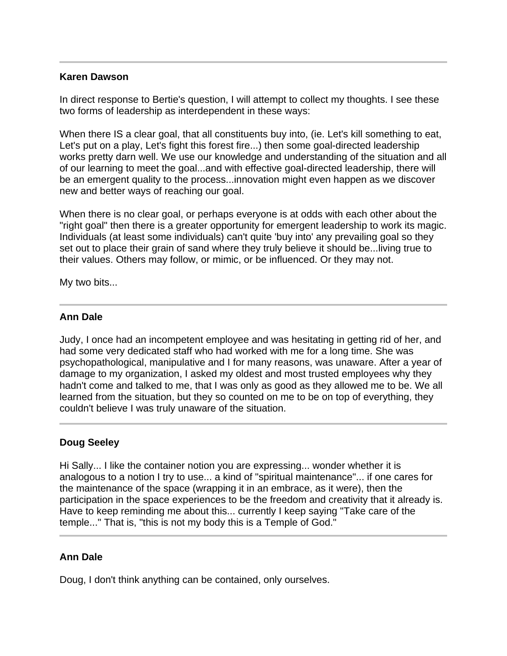### **Karen Dawson**

In direct response to Bertie's question, I will attempt to collect my thoughts. I see these two forms of leadership as interdependent in these ways:

When there IS a clear goal, that all constituents buy into, (ie. Let's kill something to eat, Let's put on a play, Let's fight this forest fire...) then some goal-directed leadership works pretty darn well. We use our knowledge and understanding of the situation and all of our learning to meet the goal...and with effective goal-directed leadership, there will be an emergent quality to the process...innovation might even happen as we discover new and better ways of reaching our goal.

When there is no clear goal, or perhaps everyone is at odds with each other about the "right goal" then there is a greater opportunity for emergent leadership to work its magic. Individuals (at least some individuals) can't quite 'buy into' any prevailing goal so they set out to place their grain of sand where they truly believe it should be...living true to their values. Others may follow, or mimic, or be influenced. Or they may not.

My two bits...

### **Ann Dale**

Judy, I once had an incompetent employee and was hesitating in getting rid of her, and had some very dedicated staff who had worked with me for a long time. She was psychopathological, manipulative and I for many reasons, was unaware. After a year of damage to my organization, I asked my oldest and most trusted employees why they hadn't come and talked to me, that I was only as good as they allowed me to be. We all learned from the situation, but they so counted on me to be on top of everything, they couldn't believe I was truly unaware of the situation.

# **Doug Seeley**

Hi Sally... I like the container notion you are expressing... wonder whether it is analogous to a notion I try to use... a kind of "spiritual maintenance"... if one cares for the maintenance of the space (wrapping it in an embrace, as it were), then the participation in the space experiences to be the freedom and creativity that it already is. Have to keep reminding me about this... currently I keep saying "Take care of the temple..." That is, "this is not my body this is a Temple of God."

# **Ann Dale**

Doug, I don't think anything can be contained, only ourselves.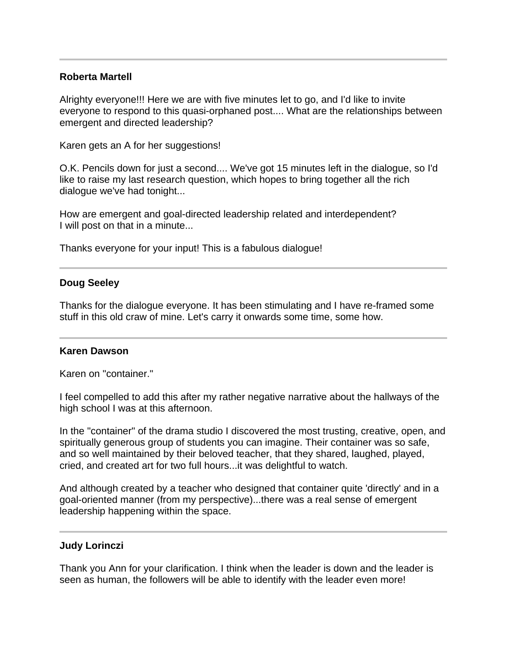### **Roberta Martell**

Alrighty everyone!!! Here we are with five minutes let to go, and I'd like to invite everyone to respond to this quasi-orphaned post.... What are the relationships between emergent and directed leadership?

Karen gets an A for her suggestions!

O.K. Pencils down for just a second.... We've got 15 minutes left in the dialogue, so I'd like to raise my last research question, which hopes to bring together all the rich dialogue we've had tonight...

How are emergent and goal-directed leadership related and interdependent? I will post on that in a minute...

Thanks everyone for your input! This is a fabulous dialogue!

# **Doug Seeley**

Thanks for the dialogue everyone. It has been stimulating and I have re-framed some stuff in this old craw of mine. Let's carry it onwards some time, some how.

# **Karen Dawson**

Karen on "container."

I feel compelled to add this after my rather negative narrative about the hallways of the high school I was at this afternoon.

In the "container" of the drama studio I discovered the most trusting, creative, open, and spiritually generous group of students you can imagine. Their container was so safe, and so well maintained by their beloved teacher, that they shared, laughed, played, cried, and created art for two full hours...it was delightful to watch.

And although created by a teacher who designed that container quite 'directly' and in a goal-oriented manner (from my perspective)...there was a real sense of emergent leadership happening within the space.

# **Judy Lorinczi**

Thank you Ann for your clarification. I think when the leader is down and the leader is seen as human, the followers will be able to identify with the leader even more!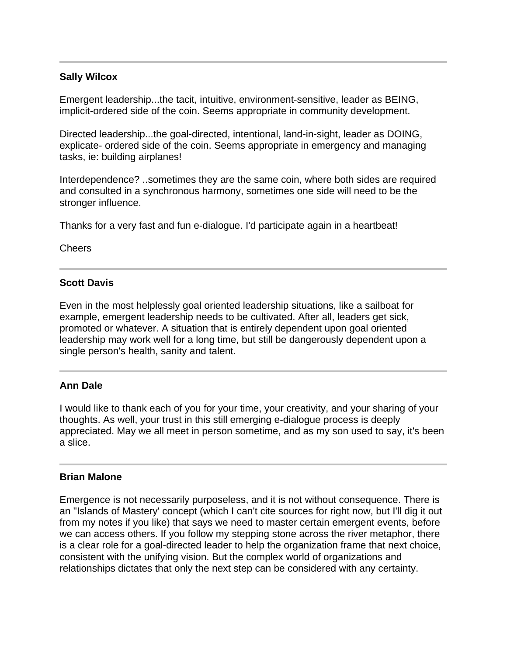# **Sally Wilcox**

Emergent leadership...the tacit, intuitive, environment-sensitive, leader as BEING, implicit-ordered side of the coin. Seems appropriate in community development.

Directed leadership...the goal-directed, intentional, land-in-sight, leader as DOING, explicate- ordered side of the coin. Seems appropriate in emergency and managing tasks, ie: building airplanes!

Interdependence? ..sometimes they are the same coin, where both sides are required and consulted in a synchronous harmony, sometimes one side will need to be the stronger influence.

Thanks for a very fast and fun e-dialogue. I'd participate again in a heartbeat!

Cheers

# **Scott Davis**

Even in the most helplessly goal oriented leadership situations, like a sailboat for example, emergent leadership needs to be cultivated. After all, leaders get sick, promoted or whatever. A situation that is entirely dependent upon goal oriented leadership may work well for a long time, but still be dangerously dependent upon a single person's health, sanity and talent.

# **Ann Dale**

I would like to thank each of you for your time, your creativity, and your sharing of your thoughts. As well, your trust in this still emerging e-dialogue process is deeply appreciated. May we all meet in person sometime, and as my son used to say, it's been a slice.

#### **Brian Malone**

Emergence is not necessarily purposeless, and it is not without consequence. There is an "Islands of Mastery' concept (which I can't cite sources for right now, but I'll dig it out from my notes if you like) that says we need to master certain emergent events, before we can access others. If you follow my stepping stone across the river metaphor, there is a clear role for a goal-directed leader to help the organization frame that next choice, consistent with the unifying vision. But the complex world of organizations and relationships dictates that only the next step can be considered with any certainty.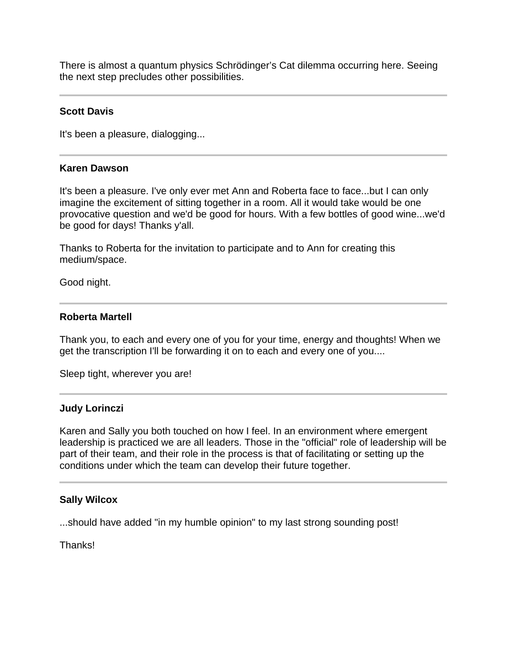There is almost a quantum physics Schrödinger's Cat dilemma occurring here. Seeing the next step precludes other possibilities.

#### **Scott Davis**

It's been a pleasure, dialogging...

#### **Karen Dawson**

It's been a pleasure. I've only ever met Ann and Roberta face to face...but I can only imagine the excitement of sitting together in a room. All it would take would be one provocative question and we'd be good for hours. With a few bottles of good wine...we'd be good for days! Thanks y'all.

Thanks to Roberta for the invitation to participate and to Ann for creating this medium/space.

Good night.

# **Roberta Martell**

Thank you, to each and every one of you for your time, energy and thoughts! When we get the transcription I'll be forwarding it on to each and every one of you....

Sleep tight, wherever you are!

#### **Judy Lorinczi**

Karen and Sally you both touched on how I feel. In an environment where emergent leadership is practiced we are all leaders. Those in the "official" role of leadership will be part of their team, and their role in the process is that of facilitating or setting up the conditions under which the team can develop their future together.

#### **Sally Wilcox**

...should have added "in my humble opinion" to my last strong sounding post!

Thanks!